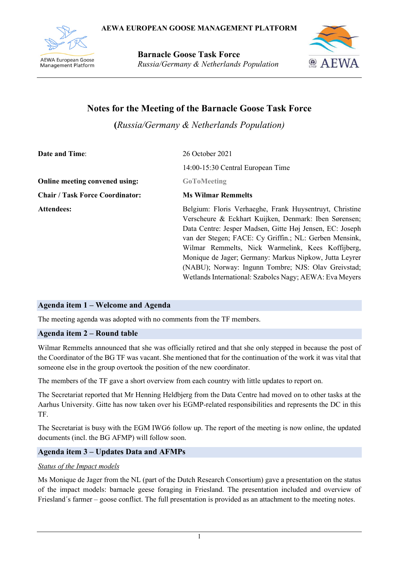

**Barnacle Goose Task Force** *Russia/Germany & Netherlands Population*



# **Notes for the Meeting of the Barnacle Goose Task Force**

**(***Russia/Germany & Netherlands Population)*

| <b>Date and Time:</b>                  | 26 October 2021                                                                                                                                                                                                                                                                                                                                                                                                                                                         |  |  |  |  |  |  |
|----------------------------------------|-------------------------------------------------------------------------------------------------------------------------------------------------------------------------------------------------------------------------------------------------------------------------------------------------------------------------------------------------------------------------------------------------------------------------------------------------------------------------|--|--|--|--|--|--|
|                                        | 14:00-15:30 Central European Time                                                                                                                                                                                                                                                                                                                                                                                                                                       |  |  |  |  |  |  |
| Online meeting convened using:         | <b>GoToMeeting</b>                                                                                                                                                                                                                                                                                                                                                                                                                                                      |  |  |  |  |  |  |
| <b>Chair / Task Force Coordinator:</b> | <b>Ms Wilmar Remmelts</b>                                                                                                                                                                                                                                                                                                                                                                                                                                               |  |  |  |  |  |  |
| <b>Attendees:</b>                      | Belgium: Floris Verhaeghe, Frank Huysentruyt, Christine<br>Verscheure & Eckhart Kuijken, Denmark: Iben Sørensen;<br>Data Centre: Jesper Madsen, Gitte Høj Jensen, EC: Joseph<br>van der Stegen; FACE: Cy Griffin.; NL: Gerben Mensink,<br>Wilmar Remmelts, Nick Warmelink, Kees Koffijberg,<br>Monique de Jager; Germany: Markus Nipkow, Jutta Leyrer<br>(NABU); Norway: Ingunn Tombre; NJS: Olav Greivstad;<br>Wetlands International: Szabolcs Nagy; AEWA: Eva Meyers |  |  |  |  |  |  |

# **Agenda item 1 – Welcome and Agenda**

The meeting agenda was adopted with no comments from the TF members.

# **Agenda item 2 – Round table**

Wilmar Remmelts announced that she was officially retired and that she only stepped in because the post of the Coordinator of the BG TF was vacant. She mentioned that for the continuation of the work it was vital that someone else in the group overtook the position of the new coordinator.

The members of the TF gave a short overview from each country with little updates to report on.

The Secretariat reported that Mr Henning Heldbjerg from the Data Centre had moved on to other tasks at the Aarhus University. Gitte has now taken over his EGMP-related responsibilities and represents the DC in this TF.

The Secretariat is busy with the EGM IWG6 follow up. The report of the meeting is now online, the updated documents (incl. the BG AFMP) will follow soon.

# **Agenda item 3 – Updates Data and AFMPs**

# *Status of the Impact models*

Ms Monique de Jager from the NL (part of the Dutch Research Consortium) gave a presentation on the status of the impact models: barnacle geese foraging in Friesland. The presentation included and overview of Friesland´s farmer – goose conflict. The full presentation is provided as an attachment to the meeting notes.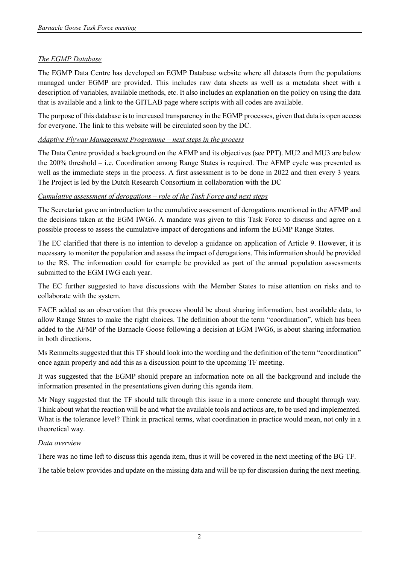# *The EGMP Database*

The EGMP Data Centre has developed an EGMP Database website where all datasets from the populations managed under EGMP are provided. This includes raw data sheets as well as a metadata sheet with a description of variables, available methods, etc. It also includes an explanation on the policy on using the data that is available and a link to the GITLAB page where scripts with all codes are available.

The purpose of this database is to increased transparency in the EGMP processes, given that data is open access for everyone. The link to this website will be circulated soon by the DC.

# *Adaptive Flyway Management Programme – next steps in the process*

The Data Centre provided a background on the AFMP and its objectives (see PPT). MU2 and MU3 are below the 200% threshold – i.e. Coordination among Range States is required. The AFMP cycle was presented as well as the immediate steps in the process. A first assessment is to be done in 2022 and then every 3 years. The Project is led by the Dutch Research Consortium in collaboration with the DC

# *Cumulative assessment of derogations – role of the Task Force and next steps*

The Secretariat gave an introduction to the cumulative assessment of derogations mentioned in the AFMP and the decisions taken at the EGM IWG6. A mandate was given to this Task Force to discuss and agree on a possible process to assess the cumulative impact of derogations and inform the EGMP Range States.

The EC clarified that there is no intention to develop a guidance on application of Article 9. However, it is necessary to monitor the population and assess the impact of derogations. This information should be provided to the RS. The information could for example be provided as part of the annual population assessments submitted to the EGM IWG each year.

The EC further suggested to have discussions with the Member States to raise attention on risks and to collaborate with the system.

FACE added as an observation that this process should be about sharing information, best available data, to allow Range States to make the right choices. The definition about the term "coordination", which has been added to the AFMP of the Barnacle Goose following a decision at EGM IWG6, is about sharing information in both directions.

Ms Remmelts suggested that this TF should look into the wording and the definition of the term "coordination" once again properly and add this as a discussion point to the upcoming TF meeting.

It was suggested that the EGMP should prepare an information note on all the background and include the information presented in the presentations given during this agenda item.

Mr Nagy suggested that the TF should talk through this issue in a more concrete and thought through way. Think about what the reaction will be and what the available tools and actions are, to be used and implemented. What is the tolerance level? Think in practical terms, what coordination in practice would mean, not only in a theoretical way.

### *Data overview*

There was no time left to discuss this agenda item, thus it will be covered in the next meeting of the BG TF.

The table below provides and update on the missing data and will be up for discussion during the next meeting.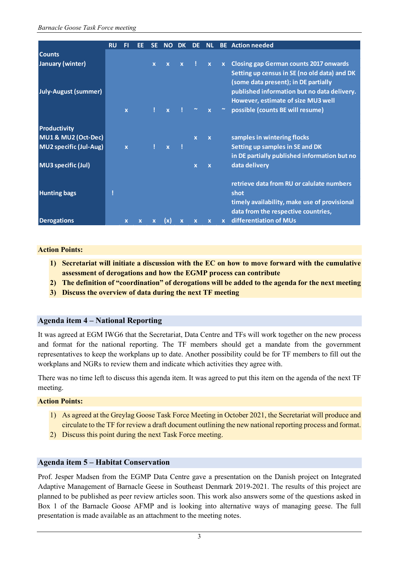|                               | <b>RU</b> | FI           | FF |              | NΟ           | <b>DK</b>    | DF.                   | <b>NL</b>    |              | <b>BE</b> Action needed                      |
|-------------------------------|-----------|--------------|----|--------------|--------------|--------------|-----------------------|--------------|--------------|----------------------------------------------|
| <b>Counts</b>                 |           |              |    |              |              |              |                       |              |              |                                              |
| January (winter)              |           |              |    | $\mathbf{x}$ | $\mathbf{x}$ | $\mathbf{x}$ |                       | $\mathbf{x}$ |              | x Closing gap German counts 2017 onwards     |
|                               |           |              |    |              |              |              |                       |              |              | Setting up census in SE (no old data) and DK |
|                               |           |              |    |              |              |              |                       |              |              | (some data present); in DE partially         |
| July-August (summer)          |           |              |    |              |              |              |                       |              |              | published information but no data delivery.  |
|                               |           |              |    |              |              |              |                       |              |              | However, estimate of size MU3 well           |
|                               |           | $\mathbf{x}$ |    |              | $\mathbf{x}$ |              | $\tilde{\phantom{a}}$ | $\mathbf{x}$ | $\sim$ .     | possible (counts BE will resume)             |
|                               |           |              |    |              |              |              |                       |              |              |                                              |
| <b>Productivity</b>           |           |              |    |              |              |              |                       |              |              |                                              |
| MU1 & MU2 (Oct-Dec)           |           |              |    |              |              |              | $\mathbf{x}$          | $\mathbf{x}$ |              | samples in wintering flocks                  |
| <b>MU2</b> specific (Jul-Aug) |           | $\mathbf{x}$ |    |              | $\mathbf{x}$ |              |                       |              |              | Setting up samples in SE and DK              |
|                               |           |              |    |              |              |              |                       |              |              | in DE partially published information but no |
| MU3 specific (Jul)            |           |              |    |              |              |              | $\mathbf{x}$          | $\mathbf{x}$ |              | data delivery                                |
|                               |           |              |    |              |              |              |                       |              |              |                                              |
|                               |           |              |    |              |              |              |                       |              |              | retrieve data from RU or calulate numbers    |
| <b>Hunting bags</b>           |           |              |    |              |              |              |                       |              |              | shot                                         |
|                               |           |              |    |              |              |              |                       |              |              | timely availability, make use of provisional |
|                               |           |              |    |              |              |              |                       |              |              | data from the respective countries,          |
| <b>Derogations</b>            |           | $\mathbf x$  |    |              | (x)          | X            |                       | $\mathbf x$  | $\mathbf{x}$ | differentiation of MUs                       |

#### **Action Points:**

- **1) Secretariat will initiate a discussion with the EC on how to move forward with the cumulative assessment of derogations and how the EGMP process can contribute**
- **2) The definition of "coordination" of derogations will be added to the agenda for the next meeting**
- **3) Discuss the overview of data during the next TF meeting**

### **Agenda item 4 – National Reporting**

It was agreed at EGM IWG6 that the Secretariat, Data Centre and TFs will work together on the new process and format for the national reporting. The TF members should get a mandate from the government representatives to keep the workplans up to date. Another possibility could be for TF members to fill out the workplans and NGRs to review them and indicate which activities they agree with.

There was no time left to discuss this agenda item. It was agreed to put this item on the agenda of the next TF meeting.

#### **Action Points:**

- 1) As agreed at the Greylag Goose Task Force Meeting in October 2021, the Secretariat will produce and circulate to the TF for review a draft document outlining the new national reporting process and format.
- 2) Discuss this point during the next Task Force meeting.

### **Agenda item 5 – Habitat Conservation**

Prof. Jesper Madsen from the EGMP Data Centre gave a presentation on the Danish project on Integrated Adaptive Management of Barnacle Geese in Southeast Denmark 2019-2021. The results of this project are planned to be published as peer review articles soon. This work also answers some of the questions asked in Box 1 of the Barnacle Goose AFMP and is looking into alternative ways of managing geese. The full presentation is made available as an attachment to the meeting notes.